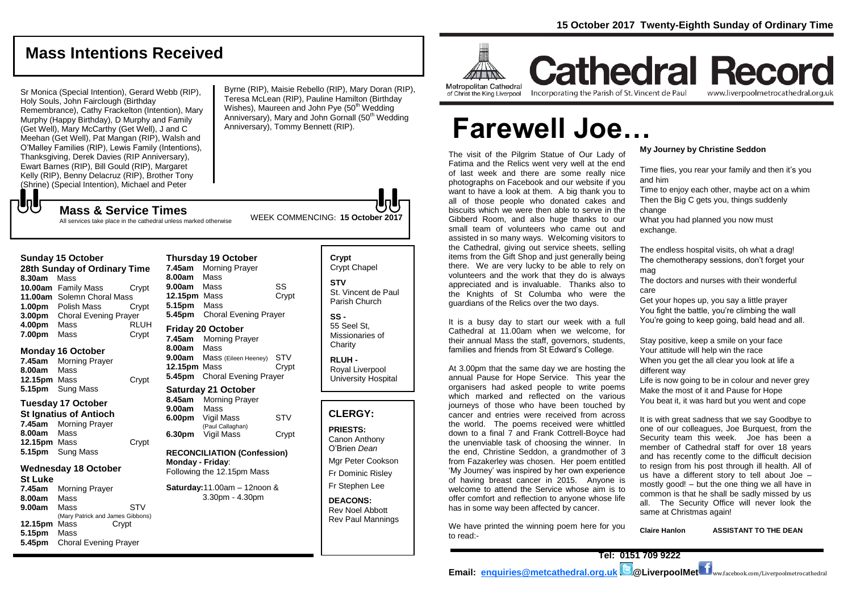## **Mass Intentions Received**

Sr Monica (Special Intention), Gerard Webb (RIP), Holy Souls, John Fairclough (Birthday Remembrance), Cathy Frackelton (Intention), Mary Murphy (Happy Birthday), D Murphy and Family (Get Well), Mary McCarthy (Get Well), J and C Meehan (Get Well), Pat Mangan (RIP), Walsh and O'Malley Families (RIP), Lewis Family (Intentions), Thanksgiving, Derek Davies (RIP Anniversary), Ewart Barnes (RIP), Bill Gould (RIP), Margaret Kelly (RIP), Benny Delacruz (RIP), Brother Tony (Shrine) (Special Intention), Michael and Peter

Byrne (RIP), Maisie Rebello (RIP), Mary Doran (RIP), Teresa McLean (RIP), Pauline Hamilton (Birthday Wishes), Maureen and John Pye (50<sup>th</sup> Wedding Anniversary), Mary and John Gornall (50<sup>th</sup> Wedding Anniversary), Tommy Bennett (RIP).

WEEK COMMENCING: **<sup>15</sup> October <sup>2017</sup> Mass & Service Times** All services take place in the cathedral unless marked otherwise

### **Sunday 15 October**

もし

| 28th Sunday of Ordinary Time |                              |             |  |  |
|------------------------------|------------------------------|-------------|--|--|
| 8.30am                       | Mass                         |             |  |  |
|                              | 10.00am Family Mass          | Crypt       |  |  |
| 11.00am                      | Solemn Choral Mass           |             |  |  |
| 1.00 <sub>pm</sub>           | Polish Mass                  | Crvpt       |  |  |
| 3.00pm                       | <b>Choral Evening Prayer</b> |             |  |  |
| 4.00pm                       | Mass                         | <b>RLUH</b> |  |  |
| 7.00pm                       | Mass                         | Crypt       |  |  |

### **Monday 16 October**

|              | <b>7.45am</b> Morning Prayer |       |
|--------------|------------------------------|-------|
| 8.00am Mass  |                              |       |
| 12.15pm Mass |                              | Crypt |
|              | 5.15pm Sung Mass             |       |

### **Tuesday 17 October**

| St Ignatius of Antioch |                         |       |  |  |
|------------------------|-------------------------|-------|--|--|
|                        | 7.45am Morning Prayer   |       |  |  |
| <b>8.00am</b> Mass     |                         |       |  |  |
| <b>12.15pm</b> Mass    |                         | Crypt |  |  |
|                        | <b>5.15pm</b> Sung Mass |       |  |  |

### **Wednesday 18 October St Luke**

**7.45am** Morning Prayer **8.00am** Mass **9.00am** MassSTV (Mary Patrick and James Gibbons)<br>Mass Crypt **12.15pm** Mass **5.15pm** Mass **5.45pm** Choral Evening Prayer

### **Thursday 19 October 7.45am** Morning Prayer **8.00am** Mass **9.00am** Mass SS **12.15pm** Mass Crypt

**5.15pm** Mass **5.45pm** Choral Evening Prayer

### **Friday 20 October**

**7.45am** Morning Prayer **8.00am** Mass **9.00am** Mass (Eileen Heeney) STV **12.15pm** Mass Crypt **5.45pm** Choral Evening Prayer

### **Saturday 21 October**

| 8.45am | <b>Morning Prayer</b>          |       |
|--------|--------------------------------|-------|
| 9.00am | Mass                           |       |
| 6.00pm | Vigil Mass<br>(Paul Callaghan) | STV   |
| 6.30pm | Vigil Mass                     | Crypt |

#### **RECONCILIATION (Confession) Monday - Friday**: Following the 12.15pm Mass

**Saturday:**11.00am – 12noon & 3.30pm - 4.30pm

### **Crypt**  Crypt Chapel **STV** St. Vincent de Paul

Parish Church

**SS -** 55 Seel St, Missionaries of **Charity** 

**RLUH -** Royal Liverpool University Hospital

### **CLERGY:**

**PRIESTS:** Canon Anthony O'Brien *Dean* Mgr Peter Cookson Fr Dominic Risley Fr Stephen Lee

**DEACONS:**

Rev Noel Abbott Rev Paul Mannings



#### Metropolitan Cathedral of Christ the King Liverpool

Incorporating the Parish of St. Vincent de Paul

## **Cathedral Record** www.liverpoolmetrocathedral.org.uk

# **Farewell Joe…**

The visit of the Pilgrim Statue of Our Lady of Fatima and the Relics went very well at the end of last week and there are some really nice photographs on Facebook and our website if you want to have a look at them. A big thank you to all of those people who donated cakes and biscuits which we were then able to serve in the Gibberd Room, and also huge thanks to our small team of volunteers who came out and assisted in so many ways. Welcoming visitors to the Cathedral, giving out service sheets, selling items from the Gift Shop and just generally being there. We are very lucky to be able to rely on volunteers and the work that they do is always appreciated and is invaluable. Thanks also to the Knights of St Columba who were the guardians of the Relics over the two days.

It is a busy day to start our week with a full Cathedral at 11.00am when we welcome, for their annual Mass the staff, governors, students, families and friends from St Edward's College.

At 3.00pm that the same day we are hosting the annual Pause for Hope Service. This year the organisers had asked people to write poems which marked and reflected on the various journeys of those who have been touched by cancer and entries were received from across the world. The poems received were whittled down to a final 7 and Frank Cottrell-Boyce had the unenviable task of choosing the winner. In the end, Christine Seddon, a grandmother of 3 from Fazakerley was chosen. Her poem entitled 'My Journey' was inspired by her own experience of having breast cancer in 2015. Anyone is welcome to attend the Service whose aim is to offer comfort and reflection to anyone whose life has in some way been affected by cancer.

We have printed the winning poem here for you to read:-

#### **My Journey by Christine Seddon**

Time flies, you rear your family and then it's you and him

Time to enjoy each other, maybe act on a whim Then the Big C gets you, things suddenly change

What you had planned you now must exchange.

The endless hospital visits, oh what a drag! The chemotherapy sessions, don't forget your mag

The doctors and nurses with their wonderful care

Get your hopes up, you say a little prayer You fight the battle, you're climbing the wall You're going to keep going, bald head and all.

Stay positive, keep a smile on your face Your attitude will help win the race When you get the all clear you look at life a different way

Life is now going to be in colour and never grey Make the most of it and Pause for Hope You beat it, it was hard but you went and cope

It is with great sadness that we say Goodbye to one of our colleagues, Joe Burquest, from the Security team this week. Joe has been a member of Cathedral staff for over 18 years and has recently come to the difficult decision to resign from his post through ill health. All of us have a different story to tell about Joe – mostly good! – but the one thing we all have in common is that he shall be sadly missed by us all. The Security Office will never look the same at Christmas again!

**Claire Hanlon ASSISTANT TO THE DEAN**

**Tel: 0151 709 9222**